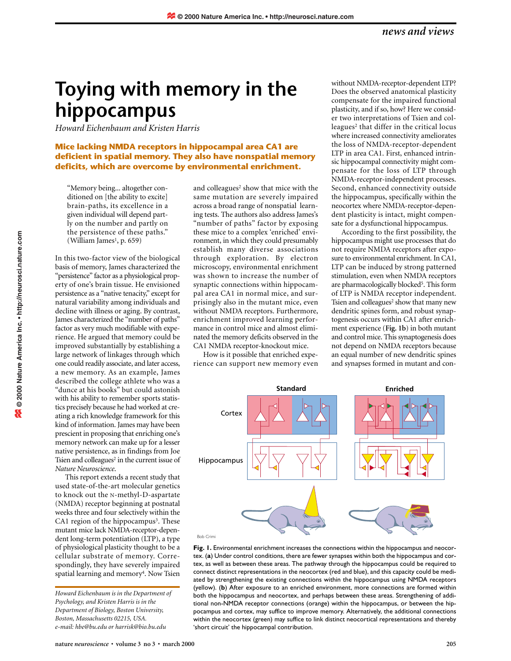## **Toying with memory in the hippocampus**

*Howard Eichenbaum and Kristen Harris*

**Mice lacking NMDA receptors in hippocampal area CA1 are deficient in spatial memory. They also have nonspatial memory deficits, which are overcome by environmental enrichment.**

"Memory being... altogether conditioned on [the ability to excite] brain-paths, its excellence in a given individual will depend partly on the number and partly on the persistence of these paths."  $(William James<sup>1</sup>, p. 659)$ 

In this two-factor view of the biological basis of memory, James characterized the "persistence" factor as a physiological property of one's brain tissue. He envisioned persistence as a "native tenacity," except for natural variability among individuals and decline with illness or aging. By contrast, James characterized the "number of paths" factor as very much modifiable with experience. He argued that memory could be improved substantially by establishing a large network of linkages through which one could readily associate, and later access, a new memory. As an example, James described the college athlete who was a "dunce at his books" but could astonish with his ability to remember sports statistics precisely because he had worked at creating a rich knowledge framework for this kind of information. James may have been prescient in proposing that enriching one's memory network can make up for a lesser native persistence, as in findings from Joe Tsien and colleagues<sup>2</sup> in the current issue of *Nature Neuroscience*.

This report extends a recent study that used state-of-the-art molecular genetics to knock out the N-methyl-D-aspartate (NMDA) receptor beginning at postnatal weeks three and four selectively within the CA1 region of the hippocampus<sup>3</sup>. These mutant mice lack NMDA-receptor-dependent long-term potentiation (LTP), a type of physiological plasticity thought to be a cellular substrate of memory. Correspondingly, they have severely impaired spatial learning and memory<sup>4</sup>. Now Tsien

and colleagues<sup>2</sup> show that mice with the same mutation are severely impaired across a broad range of nonspatial learning tests. The authors also address James's "number of paths" factor by exposing these mice to a complex 'enriched' environment, in which they could presumably establish many diverse associations through exploration. By electron microscopy, environmental enrichment was shown to increase the number of synaptic connections within hippocampal area CA1 in normal mice, and surprisingly also in the mutant mice, even without NMDA receptors. Furthermore, enrichment improved learning performance in control mice and almost eliminated the memory deficits observed in the CA1 NMDA receptor-knockout mice.

How is it possible that enriched experience can support new memory even

without NMDA-receptor-dependent LTP? Does the observed anatomical plasticity compensate for the impaired functional plasticity, and if so, how? Here we consider two interpretations of Tsien and colleagues<sup>2</sup> that differ in the critical locus where increased connectivity ameliorates the loss of NMDA-receptor-dependent LTP in area CA1. First, enhanced intrinsic hippocampal connectivity might compensate for the loss of LTP through NMDA-receptor-independent processes. Second, enhanced connectivity outside the hippocampus, specifically within the neocortex where NMDA-receptor-dependent plasticity is intact, might compensate for a dysfunctional hippocampus.

According to the first possibility, the hippocampus might use processes that do not require NMDA receptors after exposure to environmental enrichment. In CA1, LTP can be induced by strong patterned stimulation, even when NMDA receptors are pharmacologically blocked<sup>5</sup>. This form of LTP is NMDA receptor independent. Tsien and colleagues<sup>2</sup> show that many new dendritic spines form, and robust synaptogenesis occurs within CA1 after enrichment experience (**Fig. 1b**) in both mutant and control mice. This synaptogenesis does not depend on NMDA receptors because an equal number of new dendritic spines and synapses formed in mutant and con-



**Fig. 1.** Environmental enrichment increases the connections within the hippocampus and neocortex. (**a**) Under control conditions, there are fewer synapses within both the hippocampus and cortex, as well as between these areas. The pathway through the hippocampus could be required to connect distinct representations in the neocortex (red and blue), and this capacity could be mediated by strengthening the existing connections within the hippocampus using NMDA receptors (yellow). (**b**) After exposure to an enriched environment, more connections are formed within both the hippocampus and neocortex, and perhaps between these areas. Strengthening of additional non-NMDA receptor connections (orange) within the hippocampus, or between the hippocampus and cortex, may suffice to improve memory. Alternatively, the additional connections within the neocortex (green) may suffice to link distinct neocortical representations and thereby 'short circuit' the hippocampal contribution.

*Howard Eichenbaum is in the Department of Psychology, and Kristen Harris is in the Department of Biology, Boston University, Boston, Massachusetts 02215, USA. e-mail: hbe@bu.edu or harrisk@bio.bu.edu*